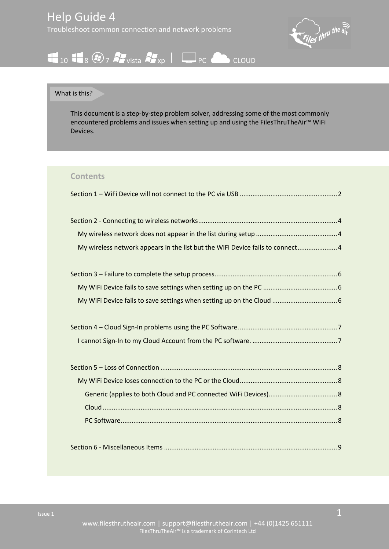

# $\begin{array}{|c|c|c|c|c|}\hline \textbf{1} & \textbf{1} & \textbf{1} & \textbf{1} & \textbf{1} & \textbf{1} & \textbf{1} & \textbf{1} & \textbf{1} & \textbf{1} & \textbf{1} & \textbf{1} & \textbf{1} & \textbf{1} & \textbf{1} & \textbf{1} & \textbf{1} & \textbf{1} & \textbf{1} & \textbf{1} & \textbf{1} & \textbf{1} & \textbf{1} & \textbf{1} & \textbf{1} & \textbf{1} & \textbf{1} & \textbf{1} & \textbf{1$

#### What is this?

This document is a step-by-step problem solver, addressing some of the most commonly encountered problems and issues when setting up and using the FilesThruTheAir™ WiFi Devices.

#### **Contents**

| My wireless network appears in the list but the WiFi Device fails to connect4 |  |
|-------------------------------------------------------------------------------|--|
|                                                                               |  |
|                                                                               |  |
|                                                                               |  |
|                                                                               |  |
|                                                                               |  |
|                                                                               |  |
|                                                                               |  |
|                                                                               |  |
|                                                                               |  |
|                                                                               |  |
|                                                                               |  |
|                                                                               |  |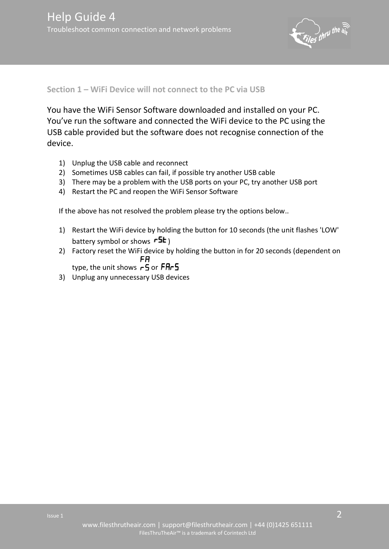

## <span id="page-1-0"></span>**Section 1 – WiFi Device will not connect to the PC via USB**

You have the WiFi Sensor Software downloaded and installed on your PC. You've run the software and connected the WiFi device to the PC using the USB cable provided but the software does not recognise connection of the device.

- 1) Unplug the USB cable and reconnect
- 2) Sometimes USB cables can fail, if possible try another USB cable
- 3) There may be a problem with the USB ports on your PC, try another USB port
- 4) Restart the PC and reopen the WiFi Sensor Software

If the above has not resolved the problem please try the options below..

- 1) Restart the WiFi device by holding the button for 10 seconds (the unit flashes 'LOW' battery symbol or shows  $\mathsf{r5k}_\mathsf{I}$
- 2) Factory reset the WiFi device by holding the button in for 20 seconds (dependent on FR type, the unit shows  $\overline{r}$  or  $\overline{F}$ *R* $\overline{r}$ 5
- 3) Unplug any unnecessary USB devices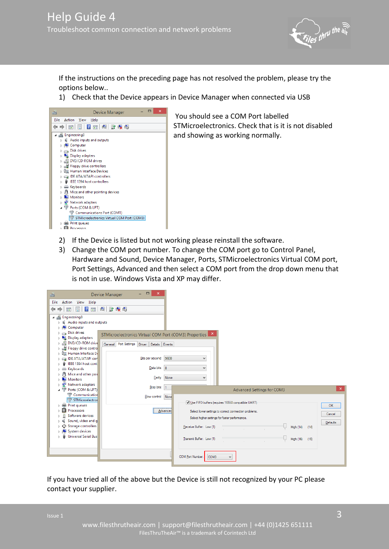

If the instructions on the preceding page has not resolved the problem, please try the options below..

1) Check that the Device appears in Device Manager when connected via USB



 You should see a COM Port labelled STMicroelectronics. Check that is it is not disabled and showing as working normally.

- 2) If the Device is listed but not working please reinstall the software.
- 3) Change the COM port number. To change the COM port go to Control Panel, Hardware and Sound, Device Manager, Ports, STMicroelectronics Virtual COM port, Port Settings, Advanced and then select a COM port from the drop down menu that is not in use. Windows Vista and XP may differ.



If you have tried all of the above but the Device is still not recognized by your PC please contact your supplier.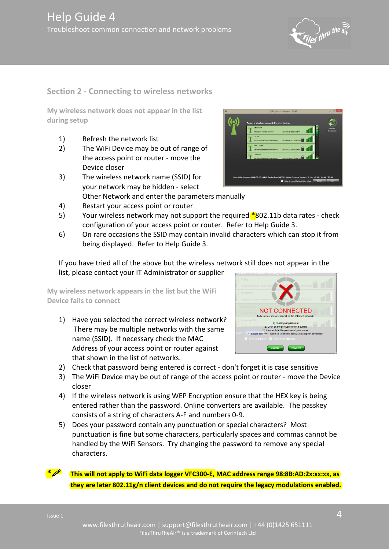the air

#### <span id="page-3-0"></span>**Section 2 - Connecting to wireless networks**

<span id="page-3-1"></span>**My wireless network does not appear in the list during setup** 

- 1) Refresh the network list
- 2) The WiFi Device may be out of range of the access point or router - move the Device closer
- 3) The wireless network name (SSID) for your network may be hidden - select Other Network and enter the parameters manually
- 4) Restart your access point or router
- 5) Your wireless network may not support the required  $*$ 802.11b data rates check configuration of your access point or router. Refer to Help Guide 3.
- 6) On rare occasions the SSID may contain invalid characters which can stop it from being displayed. Refer to Help Guide 3.

If you have tried all of the above but the wireless network still does not appear in the list, please contact your IT Administrator or supplier

<span id="page-3-2"></span>**My wireless network appears in the list but the WiFi Device fails to connect** 

- 1) Have you selected the correct wireless network? There may be multiple networks with the same name (SSID). If necessary check the MAC Address of your access point or router against that shown in the list of networks.
- 2) Check that password being entered is correct don't forget it is case sensitive
- 3) The WiFi Device may be out of range of the access point or router move the Device closer
- 4) If the wireless network is using WEP Encryption ensure that the HEX key is being entered rather than the password. Online converters are available. The passkey consists of a string of characters A-F and numbers 0-9.
- 5) Does your password contain any punctuation or special characters? Most punctuation is fine but some characters, particularly spaces and commas cannot be handled by the WiFi Sensors. Try changing the password to remove any special characters.







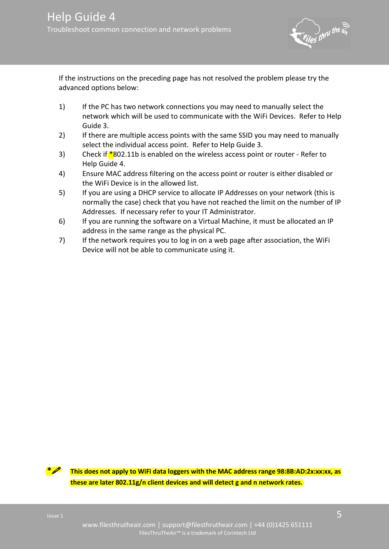

If the instructions on the preceding page has not resolved the problem please try the advanced options below:

- 1) If the PC has two network connections you may need to manually select the network which will be used to communicate with the WiFi Devices. Refer to Help Guide 3.
- 2) If there are multiple access points with the same SSID you may need to manually select the individual access point. Refer to Help Guide 3.
- 3) Check if  $*802.11b$  is enabled on the wireless access point or router Refer to Help Guide 4.
- 4) Ensure MAC address filtering on the access point or router is either disabled or the WiFi Device is in the allowed list.
- 5) If you are using a DHCP service to allocate IP Addresses on your network (this is normally the case) check that you have not reached the limit on the number of IP Addresses. If necessary refer to your IT Administrator.
- 6) If you are running the software on a Virtual Machine, it must be allocated an IP address in the same range as the physical PC.
- 7) If the network requires you to log in on a web page after association, the WiFi Device will not be able to communicate using it.



**\* This does not apply to WiFi data loggers with the MAC address range 98:8B:AD:2x:xx:xx, as these are later 802.11g/n client devices and will detect g and n network rates.**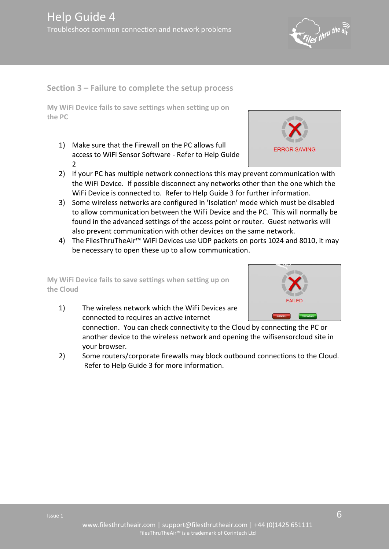$\int_{\mathcal{H}}$ ny the air

# <span id="page-5-0"></span>**Section 3 – Failure to complete the setup process**

<span id="page-5-1"></span>**My WiFi Device fails to save settings when setting up on the PC** 

1) Make sure that the Firewall on the PC allows full access to WiFi Sensor Software - Refer to Help Guide 2



- 2) If your PC has multiple network connections this may prevent communication with the WiFi Device. If possible disconnect any networks other than the one which the WiFi Device is connected to. Refer to Help Guide 3 for further information.
- 3) Some wireless networks are configured in 'Isolation' mode which must be disabled to allow communication between the WiFi Device and the PC. This will normally be found in the advanced settings of the access point or router. Guest networks will also prevent communication with other devices on the same network.
- 4) The FilesThruTheAir™ WiFi Devices use UDP packets on ports 1024 and 8010, it may be necessary to open these up to allow communication.

<span id="page-5-2"></span>**My WiFi Device fails to save settings when setting up on the Cloud** 

1) The wireless network which the WiFi Devices are connected to requires an active internet



connection. You can check connectivity to the Cloud by connecting the PC or another device to the wireless network and opening the wifisensorcloud site in your browser.

2) Some routers/corporate firewalls may block outbound connections to the Cloud. Refer to Help Guide 3 for more information.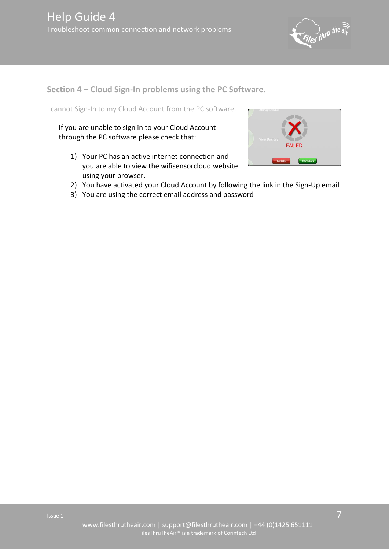

<span id="page-6-0"></span>**Section 4 – Cloud Sign-In problems using the PC Software.** 

<span id="page-6-1"></span>I cannot Sign-In to my Cloud Account from the PC software.

If you are unable to sign in to your Cloud Account through the PC software please check that:

1) Your PC has an active internet connection and you are able to view the wifisensorcloud website using your browser.



- 2) You have activated your Cloud Account by following the link in the Sign-Up email
- 3) You are using the correct email address and password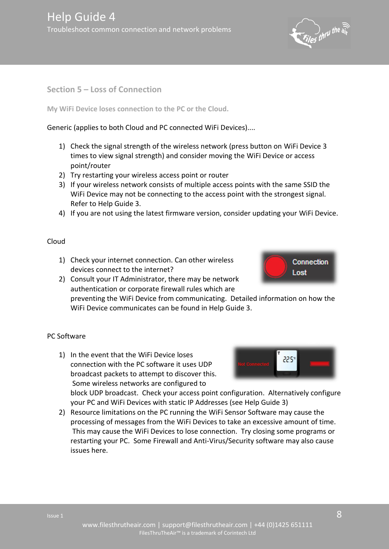

<span id="page-7-0"></span>**Section 5 – Loss of Connection** 

<span id="page-7-1"></span>**My WiFi Device loses connection to the PC or the Cloud.** 

<span id="page-7-2"></span>Generic (applies to both Cloud and PC connected WiFi Devices)....

- 1) Check the signal strength of the wireless network (press button on WiFi Device 3 times to view signal strength) and consider moving the WiFi Device or access point/router
- 2) Try restarting your wireless access point or router
- 3) If your wireless network consists of multiple access points with the same SSID the WiFi Device may not be connecting to the access point with the strongest signal. Refer to Help Guide 3.
- 4) If you are not using the latest firmware version, consider updating your WiFi Device.

#### <span id="page-7-3"></span>Cloud

- 1) Check your internet connection. Can other wireless devices connect to the internet?
- 2) Consult your IT Administrator, there may be network authentication or corporate firewall rules which are

preventing the WiFi Device from communicating. Detailed information on how the WiFi Device communicates can be found in Help Guide 3.

### <span id="page-7-4"></span>PC Software

1) In the event that the WiFi Device loses connection with the PC software it uses UDP broadcast packets to attempt to discover this. Some wireless networks are configured to



**Connection** 

Lost

block UDP broadcast. Check your access point configuration. Alternatively configure your PC and WiFi Devices with static IP Addresses (see Help Guide 3)

2) Resource limitations on the PC running the WiFi Sensor Software may cause the processing of messages from the WiFi Devices to take an excessive amount of time. This may cause the WiFi Devices to lose connection. Try closing some programs or restarting your PC. Some Firewall and Anti-Virus/Security software may also cause issues here.